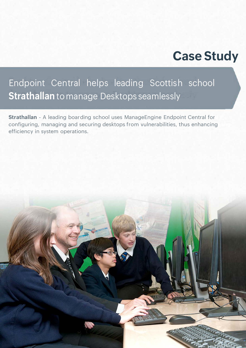# **Case Study**

## Endpoint Central helps leading Scottish school **Strathallan** to manage Desktops seamlessly

**Strathallan** - A leading boarding school uses ManageEngine Endpoint Central for configuring, managing and securing desktops from vulnerabilities, thus enhancing efficiency in system operations.

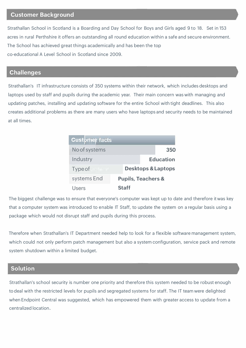#### **Customer Background**

Strathallan School in Scotland is a Boarding and Day School for Boys and Girls aged 9 to 18. Set in 153 acres in rural Perthshire it offers an outstanding all round education within a safe and secure environment. The School has achieved great things academically and has been the top co-educational A Level School in Scotland since 2009.

#### **Challenges**

Strathallan's IT infrastructure consists of 350 systems within their network, which includes desktops and laptops used by staff and pupils during the academic year. Their main concern was with managing and updating patches, installing and updating software for the entire School with tight deadlines. This also creates additional problems as there are many users who have laptops and security needs to be maintained at all times.

| <b>Customer facts</b> |                               |                  |
|-----------------------|-------------------------------|------------------|
| No of systems         |                               | 350              |
| Industry              |                               | <b>Education</b> |
| Type of               | <b>Desktops &amp; Laptops</b> |                  |
| systems End           | <b>Pupils, Teachers &amp;</b> |                  |
| Users                 | <b>Staff</b>                  |                  |

The biggest challenge was to ensure that everyone's computer was kept up to date and therefore it was key that a computer system was introduced to enable IT Staff, to update the system on a regular basis using a package which would not disrupt staff and pupils during this process.

Therefore when Strathallan's IT Department needed help to look for a flexible software management system, which could not only perform patch management but also a system configuration, service pack and remote system shutdown within a limited budget.

## **Solution**

Strathallan's school security is number one priority and therefore this system needed to be robust enough to deal with the restricted levels for pupils and segregated systems for staff. The IT team were delighted when Endpoint Central was suggested, which has empowered them with greater access to update from a centralized location.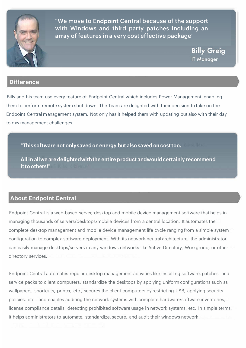

**"We move to** Endpoint **Central because of the support with Windows and third party patches including an array of features in a very cost effective package"**

**Billy Greig IT Manager** 

## **Difference**

Billy and his team use every feature of Endpoint Central which includes Power Management, enabling them to perform remote system shut down. The Team are delighted with their decision to take on the Endpoint Central management system. Not only has it helped them with updating but also with their day to day management challenges.

**"This software not only saved on energy but also saved on cost too. All in all we are delighted with the entire product and would certainly recommend it to others!"** 

## **About Endpoint Central**

Endpoint Central is a web-based server, desktop and mobile device management software that helps in managing thousands of servers/desktops/mobile devices from a central location. It automates the complete desktop management and mobile device management life cycle ranging from a simple system configuration to complex software deployment. With its network-neutral architecture, the administrator can easily manage desktops/servers in any windows networks like Active Directory, Workgroup, or other directory services.

Endpoint Central automates regular desktop management activities like installing software, patches, and service packs to client computers, standardize the desktops by applying uniform configurations such as wallpapers, shortcuts, printer, etc., secures the client computers by restricting USB, applying security policies, etc., and enables auditing the network systems with complete hardware/software inventories, license compliance details, detecting prohibited software usage in network systems, etc. In simple terms, it helps administrators to automate, standardize, secure, and audit their windows network.